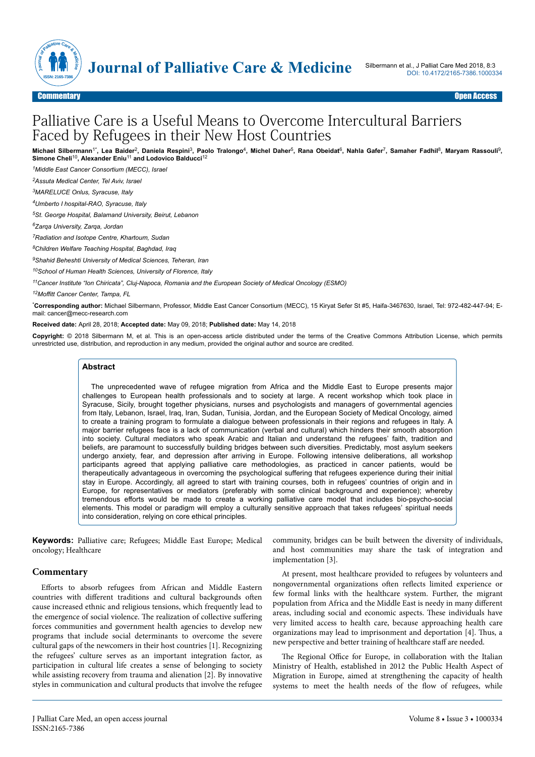

Commentary **Open Access and Commentary Commentary Commentary Open Access** Access and Commentary **Open Access** Access and Commentary **Open Access** and Commentary **Open Access** Access and Commentary **Open Access** and Comment

# Palliative Care is a Useful Means to Overcome Intercultural Barriers Faced by Refugees in their New Host Countries

Michael Silbermann1\*, Lea Baider<sup>2</sup>, Daniela Respini<sup>3</sup>, Paolo Tralongo<sup>4</sup>, Michel Daher<sup>5</sup>, Rana Obeidat<sup>6</sup>, Nahla Gafer<sup>7</sup>, Samaher Fadhil<sup>8</sup>, Maryam Rassouli<sup>9</sup>, **Simone Cheli**10**, Alexander Eniu**11 **and Lodovico Balducci**<sup>12</sup>

*<sup>1</sup>Middle East Cancer Consortium (MECC), Israel*

*<sup>2</sup>Assuta Medical Center, Tel Aviv, Israel*

*<sup>3</sup>MARELUCE Onlus, Syracuse, Italy*

*<sup>4</sup>Umberto I hospital-RAO, Syracuse, Italy*

*<sup>5</sup>St. George Hospital, Balamand University, Beirut, Lebanon*

*<sup>6</sup>Zarqa University, Zarqa, Jordan*

*<sup>7</sup>Radiation and Isotope Centre, Khartoum, Sudan*

*<sup>8</sup>Children Welfare Teaching Hospital, Baghdad, Iraq*

*<sup>9</sup>Shahid Beheshti University of Medical Sciences, Teheran, Iran*

*<sup>10</sup>School of Human Health Sciences, University of Florence, Italy*

*<sup>11</sup>Cancer Institute "Ion Chiricata", Cluj-Napoca, Romania and the European Society of Medical Oncology (ESMO)*

*<sup>12</sup>Moffitt Cancer Center, Tampa, FL*

\***Corresponding author:** Michael Silbermann, Professor, Middle East Cancer Consortium (MECC), 15 Kiryat Sefer St #5, Haifa-3467630, Israel, Tel: 972-482-447-94; Email: cancer@mecc-research.com

**Received date:** April 28, 2018; **Accepted date:** May 09, 2018; **Published date:** May 14, 2018

**Copyright:** © 2018 Silbermann M, et al. This is an open-access article distributed under the terms of the Creative Commons Attribution License, which permits unrestricted use, distribution, and reproduction in any medium, provided the original author and source are credited.

### **Abstract**

The unprecedented wave of refugee migration from Africa and the Middle East to Europe presents major challenges to European health professionals and to society at large. A recent workshop which took place in Syracuse, Sicily, brought together physicians, nurses and psychologists and managers of governmental agencies from Italy, Lebanon, Israel, Iraq, Iran, Sudan, Tunisia, Jordan, and the European Society of Medical Oncology, aimed to create a training program to formulate a dialogue between professionals in their regions and refugees in Italy. A major barrier refugees face is a lack of communication (verbal and cultural) which hinders their smooth absorption into society. Cultural mediators who speak Arabic and Italian and understand the refugees' faith, tradition and beliefs, are paramount to successfully building bridges between such diversities. Predictably, most asylum seekers undergo anxiety, fear, and depression after arriving in Europe. Following intensive deliberations, all workshop participants agreed that applying palliative care methodologies, as practiced in cancer patients, would be therapeutically advantageous in overcoming the psychological suffering that refugees experience during their initial stay in Europe. Accordingly, all agreed to start with training courses, both in refugees' countries of origin and in Europe, for representatives or mediators (preferably with some clinical background and experience); whereby tremendous efforts would be made to create a working palliative care model that includes bio-psycho-social elements. This model or paradigm will employ a culturally sensitive approach that takes refugees' spiritual needs into consideration, relying on core ethical principles.

**Keywords:** Palliative care; Refugees; Middle East Europe; Medical oncology; Healthcare

#### **Commentary**

Efforts to absorb refugees from African and Middle Eastern countries with different traditions and cultural backgrounds often cause increased ethnic and religious tensions, which frequently lead to the emergence of social violence. The realization of collective suffering forces communities and government health agencies to develop new programs that include social determinants to overcome the severe cultural gaps of the newcomers in their host countries [1]. Recognizing the refugees' culture serves as an important integration factor, as participation in cultural life creates a sense of belonging to society while assisting recovery from trauma and alienation [2]. By innovative styles in communication and cultural products that involve the refugee community, bridges can be built between the diversity of individuals, and host communities may share the task of integration and implementation [3].

At present, most healthcare provided to refugees by volunteers and nongovernmental organizations often reflects limited experience or few formal links with the healthcare system. Further, the migrant population from Africa and the Middle East is needy in many different areas, including social and economic aspects. Нese individuals have very limited access to health care, because approaching health care organizations may lead to imprisonment and deportation [4]. Thus, a new perspective and better training of healthcare staff are needed.

The Regional Office for Europe, in collaboration with the Italian Ministry of Health, established in 2012 the Public Health Aspect of Migration in Europe, aimed at strengthening the capacity of health systems to meet the health needs of the flow of refugees, while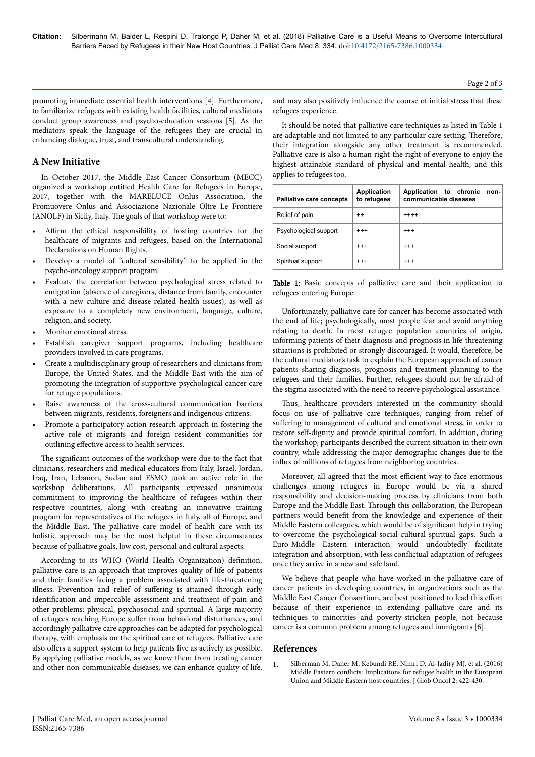Page 2 of 3

promoting immediate essential health interventions [4]. Furthermore, to familiarize refugees with existing health facilities, cultural mediators conduct group awareness and psycho-education sessions [5]. As the mediators speak the language of the refugees they are crucial in enhancing dialogue, trust, and transcultural understanding.

# **A New Initiative**

In October 2017, the Middle East Cancer Consortium (MECC) organized a workshop entitled Health Care for Refugees in Europe, 2017, together with the MARELUCE Onlus Association, the Promuovere Onlus and Associazione Nazionale Oltre Le Frontiere (ANOLF) in Sicily, Italy. Нe goals of that workshop were to:

- Affirm the ethical responsibility of hosting countries for the healthcare of migrants and refugees, based on the International Declarations on Human Rights.
- Develop a model of "cultural sensibility" to be applied in the psycho-oncology support program.
- Evaluate the correlation between psychological stress related to emigration (absence of caregivers, distance from family, encounter with a new culture and disease-related health issues), as well as exposure to a completely new environment, language, culture, religion, and society.
- Monitor emotional stress.
- Establish caregiver support programs, including healthcare providers involved in care programs.
- Create a multidisciplinary group of researchers and clinicians from Europe, the United States, and the Middle East with the aim of promoting the integration of supportive psychological cancer care for refugee populations.
- Raise awareness of the cross-cultural communication barriers between migrants, residents, foreigners and indigenous citizens.
- Promote a participatory action research approach in fostering the active role of migrants and foreign resident communities for outlining effective access to health services.

The significant outcomes of the workshop were due to the fact that clinicians, researchers and medical educators from Italy, Israel, Jordan, Iraq, Iran, Lebanon, Sudan and ESMO took an active role in the workshop deliberations. All participants expressed unanimous commitment to improving the healthcare of refugees within their respective countries, along with creating an innovative training program for representatives of the refugees in Italy, all of Europe, and the Middle East. Нe palliative care model of health care with its holistic approach may be the most helpful in these circumstances because of palliative goals, low cost, personal and cultural aspects.

According to its WHO (World Health Organization) definition palliative care is an approach that improves quality of life of patients and their families facing a problem associated with life-threatening illness. Prevention and relief of suffering is attained through early identification and impeccable assessment and treatment of pain and other problems: physical, psychosocial and spiritual. A large majority of refugees reaching Europe suffer from behavioral disturbances, and accordingly palliative care approaches can be adapted for psychological therapy, with emphasis on the spiritual care of refugees. Palliative care also offers a support system to help patients live as actively as possible. By applying palliative models, as we know them from treating cancer and other non-communicable diseases, we can enhance quality of life,

| and may also positively influence the course of initial stress that these |
|---------------------------------------------------------------------------|
| refugees experience.                                                      |

It should be noted that palliative care techniques as listed in Table 1 are adaptable and not limited to any particular care setting. Нerefore their integration alongside any other treatment is recommended. Palliative care is also a human right-the right of everyone to enjoy the highest attainable standard of physical and mental health, and this applies to refugees too.

| <b>Palliative care concepts</b> | <b>Application</b><br>to refugees | Application to chronic<br>non-<br>communicable diseases |
|---------------------------------|-----------------------------------|---------------------------------------------------------|
| Relief of pain                  | $^{++}$                           | $+++++$                                                 |
| Psychological support           | $^{+++}$                          | $^{+++}$                                                |
| Social support                  | $^{+++}$                          | $^{+++}$                                                |
| Spiritual support               | $^{+++}$                          | $^{+++}$                                                |

|  |                           |  |  | <b>Table 1:</b> Basic concepts of palliative care and their application to |  |
|--|---------------------------|--|--|----------------------------------------------------------------------------|--|
|  | refugees entering Europe. |  |  |                                                                            |  |

Unfortunately, palliative care for cancer has become associated with the end of life; psychologically, most people fear and avoid anything relating to death. In most refugee population countries of origin, informing patients of their diagnosis and prognosis in life-threatening situations is prohibited or strongly discouraged. It would, therefore, be the cultural mediator's task to explain the European approach of cancer patients sharing diagnosis, prognosis and treatment planning to the refugees and their families. Further, refugees should not be afraid of the stigma associated with the need to receive psychological assistance.

Thus, healthcare providers interested in the community should focus on use of palliative care techniques, ranging from relief of suffering to management of cultural and emotional stress, in order to restore self-dignity and provide spiritual comfort. In addition, during the workshop, participants described the current situation in their own country, while addressing the major demographic changes due to the influx of millions of refugees from neighboring countries.

Moreover, all agreed that the most efficient way to face enormous challenges among refugees in Europe would be via a shared responsibility and decision-making process by clinicians from both Europe and the Middle East. Нrough this collaboration, the European partners would benefit from the knowledge and experience of their Middle Eastern colleagues, which would be of significant help in trying to overcome the psychological-social-cultural-spiritual gaps. Such a Euro-Middle Eastern interaction would undoubtedly facilitate integration and absorption, with less conflictual adaptation of refugees once they arrive in a new and safe land.

We believe that people who have worked in the palliative care of cancer patients in developing countries, in organizations such as the Middle East Cancer Consortium, are best positioned to lead this effort because of their experience in extending palliative care and its techniques to minorities and poverty-stricken people, not because cancer is a common problem among refugees and immigrants [6].

## **References**

1. [Silberman M, Daher M, Kebundi RE, Nimri D, Al-Jadiry MJ, et al. \(2016\)](https://doi.org/10.1200/jgo.2016.005173) Middle Eastern conflicts: [Implications for refugee health in the European](https://doi.org/10.1200/jgo.2016.005173) [Union and Middle Eastern host countries. J Glob Oncol 2: 422-430.](https://doi.org/10.1200/jgo.2016.005173)